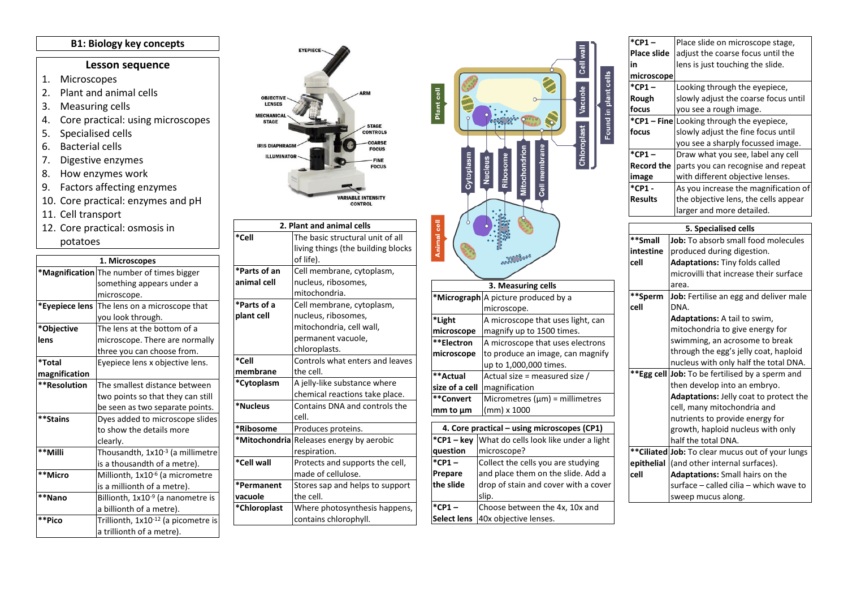## **B1: Biology key concepts**

## **Lesson sequence**

- 1. Microscopes
- 2. Plant and animal cells
- 3. Measuring cells
- 4. Core practical: using microscopes
- 5. Specialised cells
- 6. Bacterial cells
- 7. Digestive enzymes
- 8. How enzymes work
- 9. Factors affecting enzymes
- 10. Core practical: enzymes and pH
- 11. Cell transport
- 12. Core practical: osmosis in potatoes

| 1. Microscopes |                                                 |  |  |  |
|----------------|-------------------------------------------------|--|--|--|
|                | *Magnification The number of times bigger       |  |  |  |
|                | something appears under a                       |  |  |  |
|                | microscope.                                     |  |  |  |
| *Eyepiece lens | The lens on a microscope that                   |  |  |  |
|                | you look through.                               |  |  |  |
| *Objective     | The lens at the bottom of a                     |  |  |  |
| lens           | microscope. There are normally                  |  |  |  |
|                | three you can choose from.                      |  |  |  |
| *Total         | Eyepiece lens x objective lens.                 |  |  |  |
| magnification  |                                                 |  |  |  |
| **Resolution   | The smallest distance between                   |  |  |  |
|                | two points so that they can still               |  |  |  |
|                | be seen as two separate points.                 |  |  |  |
| **Stains       | Dyes added to microscope slides                 |  |  |  |
|                | to show the details more                        |  |  |  |
|                | clearly.                                        |  |  |  |
| **Milli        | Thousandth, 1x10-3 (a millimetre                |  |  |  |
|                | is a thousandth of a metre).                    |  |  |  |
| **Micro        | Millionth, 1x10 <sup>-6</sup> (a micrometre     |  |  |  |
|                | is a millionth of a metre).                     |  |  |  |
| **Nano         | Billionth, 1x10 <sup>-9</sup> (a nanometre is   |  |  |  |
|                | a billionth of a metre).                        |  |  |  |
| **Pico         | Trillionth, 1x10 <sup>-12</sup> (a picometre is |  |  |  |
|                | a trillionth of a metre).                       |  |  |  |





| *CP1 –      | Place slide on microscope stage,                  |  |  |  |
|-------------|---------------------------------------------------|--|--|--|
| Place slide | adjust the coarse focus until the                 |  |  |  |
| in          | lens is just touching the slide.                  |  |  |  |
| microscope  |                                                   |  |  |  |
| *CP1-       | Looking through the eyepiece,                     |  |  |  |
| Rough       | slowly adjust the coarse focus until              |  |  |  |
| focus       | you see a rough image.                            |  |  |  |
|             | *CP1 - Fine Looking through the eyepiece,         |  |  |  |
| focus       | slowly adjust the fine focus until                |  |  |  |
|             | you see a sharply focussed image.                 |  |  |  |
| *CP1 –      | Draw what you see, label any cell                 |  |  |  |
| Record the  | parts you can recognise and repeat                |  |  |  |
| image       | with different objective lenses.                  |  |  |  |
| *CP1 -      | As you increase the magnification of              |  |  |  |
| Results     | the objective lens, the cells appear              |  |  |  |
|             | larger and more detailed.                         |  |  |  |
|             |                                                   |  |  |  |
|             | 5. Specialised cells                              |  |  |  |
| **Small     | Job: To absorb small food molecules               |  |  |  |
| intestine   | produced during digestion.                        |  |  |  |
| cell        | Adaptations: Tiny folds called                    |  |  |  |
|             | microvilli that increase their surface            |  |  |  |
|             | area.                                             |  |  |  |
| **Sperm     | Job: Fertilise an egg and deliver male            |  |  |  |
| cell        | DNA.                                              |  |  |  |
|             | <b>Adaptations:</b> A tail to swim,               |  |  |  |
|             | mitochondria to give energy for                   |  |  |  |
|             | swimming, an acrosome to break                    |  |  |  |
|             | through the egg's jelly coat, haploid             |  |  |  |
|             | nucleus with only half the total DNA.             |  |  |  |
|             | **Egg cell Job: To be fertilised by a sperm and   |  |  |  |
|             | then develop into an embryo.                      |  |  |  |
|             | Adaptations: Jelly coat to protect the            |  |  |  |
|             | cell, many mitochondria and                       |  |  |  |
|             | nutrients to provide energy for                   |  |  |  |
|             | growth, haploid nucleus with only                 |  |  |  |
|             | half the total DNA.                               |  |  |  |
|             | ** Ciliated Job: To clear mucus out of your lungs |  |  |  |
| epithelial  | (and other internal surfaces).                    |  |  |  |
| cell        | Adaptations: Small hairs on the                   |  |  |  |
|             | surface - called cilia - which wave to            |  |  |  |
|             | sweep mucus along.                                |  |  |  |